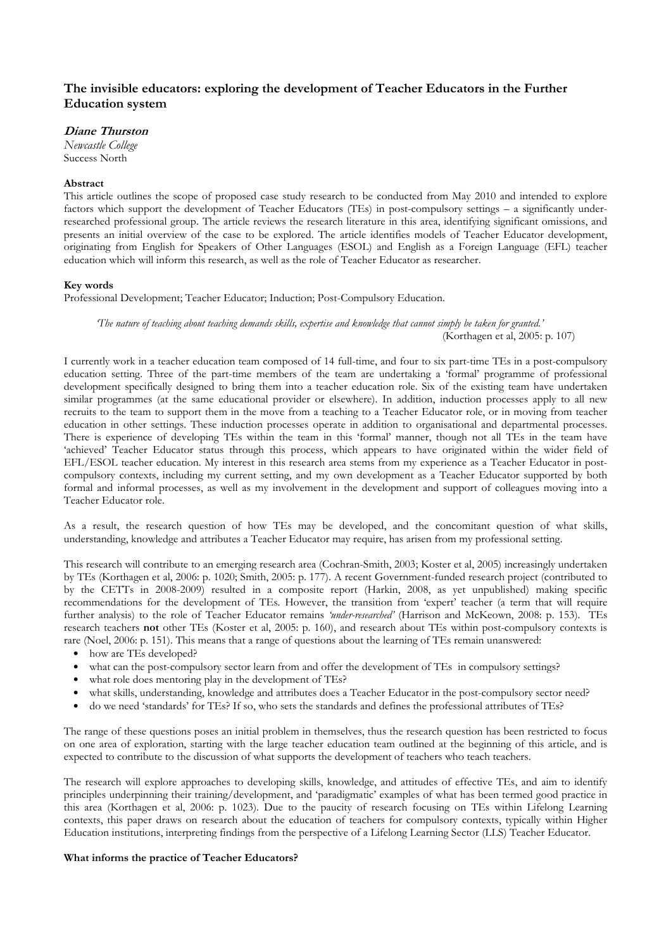# The invisible educators: exploring the development of Teacher Educators in the Further Education system

# Diane Thurston

Newcastle College Success North

# Abstract

This article outlines the scope of proposed case study research to be conducted from May 2010 and intended to explore factors which support the development of Teacher Educators (TEs) in post-compulsory settings – a significantly underresearched professional group. The article reviews the research literature in this area, identifying significant omissions, and presents an initial overview of the case to be explored. The article identifies models of Teacher Educator development, originating from English for Speakers of Other Languages (ESOL) and English as a Foreign Language (EFL) teacher education which will inform this research, as well as the role of Teacher Educator as researcher.

# Key words

Professional Development; Teacher Educator; Induction; Post-Compulsory Education.

'The nature of teaching about teaching demands skills, expertise and knowledge that cannot simply be taken for granted.' (Korthagen et al, 2005: p. 107)

I currently work in a teacher education team composed of 14 full-time, and four to six part-time TEs in a post-compulsory education setting. Three of the part-time members of the team are undertaking a 'formal' programme of professional development specifically designed to bring them into a teacher education role. Six of the existing team have undertaken similar programmes (at the same educational provider or elsewhere). In addition, induction processes apply to all new recruits to the team to support them in the move from a teaching to a Teacher Educator role, or in moving from teacher education in other settings. These induction processes operate in addition to organisational and departmental processes. There is experience of developing TEs within the team in this 'formal' manner, though not all TEs in the team have 'achieved' Teacher Educator status through this process, which appears to have originated within the wider field of EFL/ESOL teacher education. My interest in this research area stems from my experience as a Teacher Educator in postcompulsory contexts, including my current setting, and my own development as a Teacher Educator supported by both formal and informal processes, as well as my involvement in the development and support of colleagues moving into a Teacher Educator role.

As a result, the research question of how TEs may be developed, and the concomitant question of what skills, understanding, knowledge and attributes a Teacher Educator may require, has arisen from my professional setting.

This research will contribute to an emerging research area (Cochran-Smith, 2003; Koster et al, 2005) increasingly undertaken by TEs (Korthagen et al, 2006: p. 1020; Smith, 2005: p. 177). A recent Government-funded research project (contributed to by the CETTs in 2008-2009) resulted in a composite report (Harkin, 2008, as yet unpublished) making specific recommendations for the development of TEs. However, the transition from 'expert' teacher (a term that will require further analysis) to the role of Teacher Educator remains 'under-researched' (Harrison and McKeown, 2008: p. 153). TEs research teachers not other TEs (Koster et al, 2005: p. 160), and research about TEs within post-compulsory contexts is rare (Noel, 2006: p. 151). This means that a range of questions about the learning of TEs remain unanswered:

- how are TEs developed?
- what can the post-compulsory sector learn from and offer the development of TEs in compulsory settings?
- what role does mentoring play in the development of TEs?
- what skills, understanding, knowledge and attributes does a Teacher Educator in the post-compulsory sector need?
- do we need 'standards' for TEs? If so, who sets the standards and defines the professional attributes of TEs?

The range of these questions poses an initial problem in themselves, thus the research question has been restricted to focus on one area of exploration, starting with the large teacher education team outlined at the beginning of this article, and is expected to contribute to the discussion of what supports the development of teachers who teach teachers.

The research will explore approaches to developing skills, knowledge, and attitudes of effective TEs, and aim to identify principles underpinning their training/development, and 'paradigmatic' examples of what has been termed good practice in this area (Korthagen et al, 2006: p. 1023). Due to the paucity of research focusing on TEs within Lifelong Learning contexts, this paper draws on research about the education of teachers for compulsory contexts, typically within Higher Education institutions, interpreting findings from the perspective of a Lifelong Learning Sector (LLS) Teacher Educator.

# What informs the practice of Teacher Educators?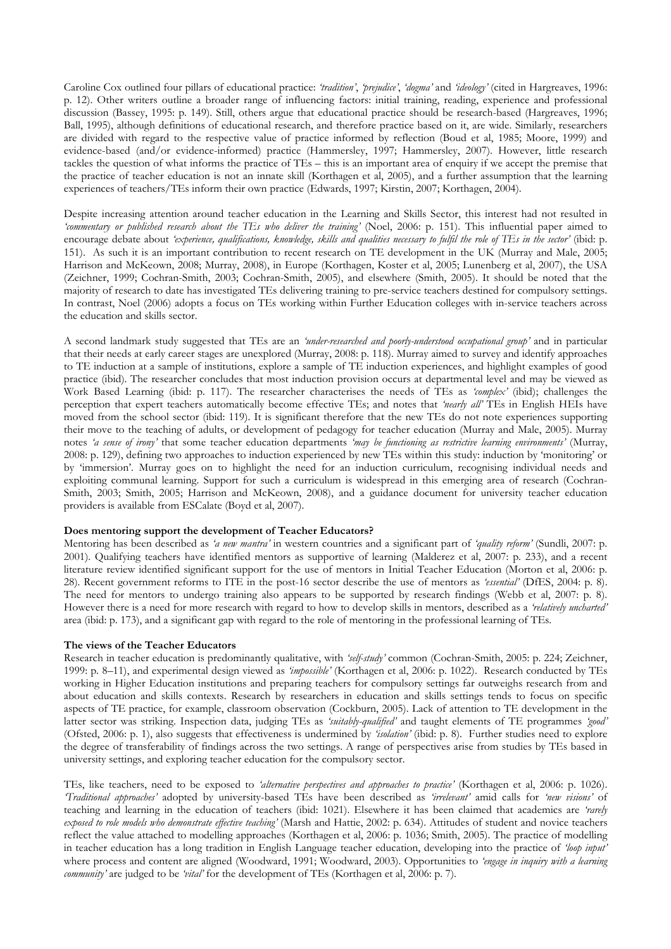Caroline Cox outlined four pillars of educational practice: 'tradition', 'prejudice', 'dogma' and 'ideology' (cited in Hargreaves, 1996: p. 12). Other writers outline a broader range of influencing factors: initial training, reading, experience and professional discussion (Bassey, 1995: p. 149). Still, others argue that educational practice should be research-based (Hargreaves, 1996; Ball, 1995), although definitions of educational research, and therefore practice based on it, are wide. Similarly, researchers are divided with regard to the respective value of practice informed by reflection (Boud et al, 1985; Moore, 1999) and evidence-based (and/or evidence-informed) practice (Hammersley, 1997; Hammersley, 2007). However, little research tackles the question of what informs the practice of TEs – this is an important area of enquiry if we accept the premise that the practice of teacher education is not an innate skill (Korthagen et al, 2005), and a further assumption that the learning experiences of teachers/TEs inform their own practice (Edwards, 1997; Kirstin, 2007; Korthagen, 2004).

Despite increasing attention around teacher education in the Learning and Skills Sector, this interest had not resulted in 'commentary or published research about the TEs who deliver the training' (Noel, 2006: p. 151). This influential paper aimed to encourage debate about 'experience, qualifications, knowledge, skills and qualities necessary to fulfil the role of TEs in the sector' (ibid: p. 151). As such it is an important contribution to recent research on TE development in the UK (Murray and Male, 2005; Harrison and McKeown, 2008; Murray, 2008), in Europe (Korthagen, Koster et al, 2005; Lunenberg et al, 2007), the USA (Zeichner, 1999; Cochran-Smith, 2003; Cochran-Smith, 2005), and elsewhere (Smith, 2005). It should be noted that the majority of research to date has investigated TEs delivering training to pre-service teachers destined for compulsory settings. In contrast, Noel (2006) adopts a focus on TEs working within Further Education colleges with in-service teachers across the education and skills sector.

A second landmark study suggested that TEs are an 'under-researched and poorly-understood occupational group' and in particular that their needs at early career stages are unexplored (Murray, 2008: p. 118). Murray aimed to survey and identify approaches to TE induction at a sample of institutions, explore a sample of TE induction experiences, and highlight examples of good practice (ibid). The researcher concludes that most induction provision occurs at departmental level and may be viewed as Work Based Learning (ibid: p. 117). The researcher characterises the needs of TEs as 'complex' (ibid); challenges the perception that expert teachers automatically become effective TEs; and notes that 'nearly all' TEs in English HEIs have moved from the school sector (ibid: 119). It is significant therefore that the new TEs do not note experiences supporting their move to the teaching of adults, or development of pedagogy for teacher education (Murray and Male, 2005). Murray notes 'a sense of irony' that some teacher education departments 'may be functioning as restrictive learning environments' (Murray, 2008: p. 129), defining two approaches to induction experienced by new TEs within this study: induction by 'monitoring' or by 'immersion'. Murray goes on to highlight the need for an induction curriculum, recognising individual needs and exploiting communal learning. Support for such a curriculum is widespread in this emerging area of research (Cochran-Smith, 2003; Smith, 2005; Harrison and McKeown, 2008), and a guidance document for university teacher education providers is available from ESCalate (Boyd et al, 2007).

## Does mentoring support the development of Teacher Educators?

Mentoring has been described as 'a new mantra' in western countries and a significant part of 'quality reform' (Sundli, 2007: p. 2001). Qualifying teachers have identified mentors as supportive of learning (Malderez et al, 2007: p. 233), and a recent literature review identified significant support for the use of mentors in Initial Teacher Education (Morton et al, 2006: p. 28). Recent government reforms to ITE in the post-16 sector describe the use of mentors as 'essential' (DfES, 2004: p. 8). The need for mentors to undergo training also appears to be supported by research findings (Webb et al, 2007: p. 8). However there is a need for more research with regard to how to develop skills in mentors, described as a 'relatively uncharted' area (ibid: p. 173), and a significant gap with regard to the role of mentoring in the professional learning of TEs.

## The views of the Teacher Educators

Research in teacher education is predominantly qualitative, with 'self-study' common (Cochran-Smith, 2005: p. 224; Zeichner, 1999: p. 8–11), and experimental design viewed as 'impossible' (Korthagen et al, 2006: p. 1022). Research conducted by TEs working in Higher Education institutions and preparing teachers for compulsory settings far outweighs research from and about education and skills contexts. Research by researchers in education and skills settings tends to focus on specific aspects of TE practice, for example, classroom observation (Cockburn, 2005). Lack of attention to TE development in the latter sector was striking. Inspection data, judging TEs as 'suitably-qualified' and taught elements of TE programmes 'good' (Ofsted, 2006: p. 1), also suggests that effectiveness is undermined by 'isolation' (ibid: p. 8). Further studies need to explore the degree of transferability of findings across the two settings. A range of perspectives arise from studies by TEs based in university settings, and exploring teacher education for the compulsory sector.

TEs, like teachers, need to be exposed to 'alternative perspectives and approaches to practice' (Korthagen et al, 2006: p. 1026). 'Traditional approaches' adopted by university-based TEs have been described as 'irrelevant' amid calls for 'new visions' of teaching and learning in the education of teachers (ibid: 1021). Elsewhere it has been claimed that academics are 'rarely exposed to role models who demonstrate effective teaching' (Marsh and Hattie, 2002: p. 634). Attitudes of student and novice teachers reflect the value attached to modelling approaches (Korthagen et al, 2006: p. 1036; Smith, 2005). The practice of modelling in teacher education has a long tradition in English Language teacher education, developing into the practice of 'loop input' where process and content are aligned (Woodward, 1991; Woodward, 2003). Opportunities to 'engage in inquiry with a learning community' are judged to be 'vital' for the development of TEs (Korthagen et al, 2006: p. 7).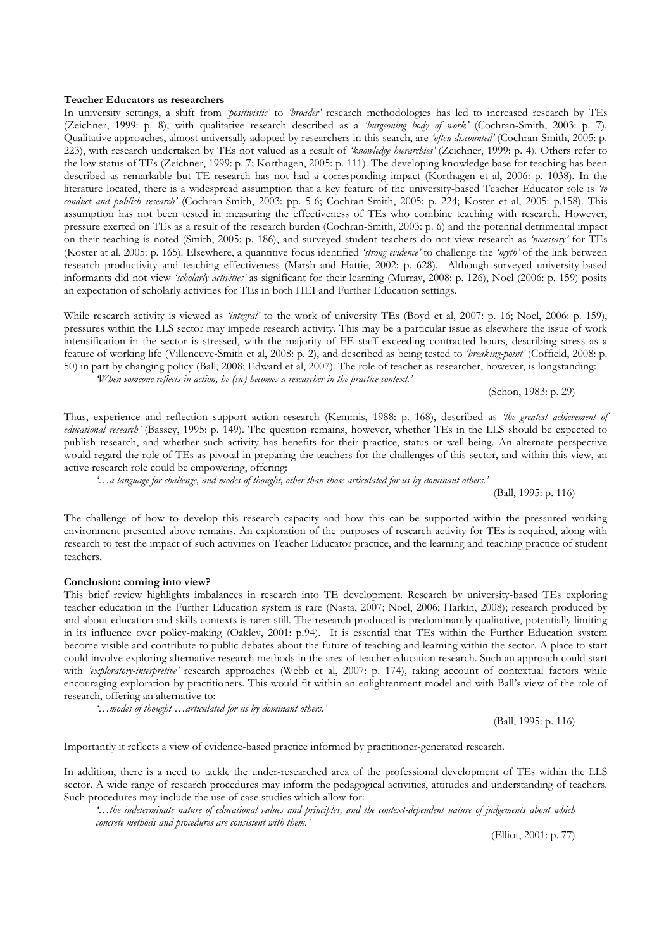#### Teacher Educators as researchers

In university settings, a shift from '*positivistic'* to '*broader'* research methodologies has led to increased research by TEs (Zeichner, 1999: p. 8), with qualitative research described as a 'burgeoning body of work' (Cochran-Smith, 2003: p. 7). Qualitative approaches, almost universally adopted by researchers in this search, are 'often discounted' (Cochran-Smith, 2005: p. 223), with research undertaken by TEs not valued as a result of 'knowledge hierarchies' (Zeichner, 1999: p. 4). Others refer to the low status of TEs (Zeichner, 1999: p. 7; Korthagen, 2005: p. 111). The developing knowledge base for teaching has been described as remarkable but TE research has not had a corresponding impact (Korthagen et al, 2006: p. 1038). In the literature located, there is a widespread assumption that a key feature of the university-based Teacher Educator role is 'to conduct and publish research' (Cochran-Smith, 2003: pp. 5-6; Cochran-Smith, 2005: p. 224; Koster et al, 2005: p.158). This assumption has not been tested in measuring the effectiveness of TEs who combine teaching with research. However, pressure exerted on TEs as a result of the research burden (Cochran-Smith, 2003: p. 6) and the potential detrimental impact on their teaching is noted (Smith, 2005: p. 186), and surveyed student teachers do not view research as 'necessary' for TEs (Koster at al, 2005: p. 165). Elsewhere, a quantitive focus identified 'strong evidence' to challenge the 'myth' of the link between research productivity and teaching effectiveness (Marsh and Hattie, 2002: p. 628). Although surveyed university-based informants did not view 'scholarly activities' as significant for their learning (Murray, 2008: p. 126), Noel (2006: p. 159) posits an expectation of scholarly activities for TEs in both HEI and Further Education settings.

While research activity is viewed as 'integral' to the work of university TEs (Boyd et al, 2007: p. 16; Noel, 2006: p. 159), pressures within the LLS sector may impede research activity. This may be a particular issue as elsewhere the issue of work intensification in the sector is stressed, with the majority of FE staff exceeding contracted hours, describing stress as a feature of working life (Villeneuve-Smith et al, 2008: p. 2), and described as being tested to 'breaking-point' (Coffield, 2008: p. 50) in part by changing policy (Ball, 2008; Edward et al, 2007). The role of teacher as researcher, however, is longstanding: 'When someone reflects-in-action, he (sic) becomes a researcher in the practice context.'

(Schon, 1983: p. 29)

Thus, experience and reflection support action research (Kemmis, 1988: p. 168), described as 'the greatest achievement of educational research' (Bassey, 1995: p. 149). The question remains, however, whether TEs in the LLS should be expected to publish research, and whether such activity has benefits for their practice, status or well-being. An alternate perspective would regard the role of TEs as pivotal in preparing the teachers for the challenges of this sector, and within this view, an active research role could be empowering, offering:

'…a language for challenge, and modes of thought, other than those articulated for us by dominant others.'

(Ball, 1995: p. 116)

The challenge of how to develop this research capacity and how this can be supported within the pressured working environment presented above remains. An exploration of the purposes of research activity for TEs is required, along with research to test the impact of such activities on Teacher Educator practice, and the learning and teaching practice of student teachers.

### Conclusion: coming into view?

This brief review highlights imbalances in research into TE development. Research by university-based TEs exploring teacher education in the Further Education system is rare (Nasta, 2007; Noel, 2006; Harkin, 2008); research produced by and about education and skills contexts is rarer still. The research produced is predominantly qualitative, potentially limiting in its influence over policy-making (Oakley, 2001: p.94). It is essential that TEs within the Further Education system become visible and contribute to public debates about the future of teaching and learning within the sector. A place to start could involve exploring alternative research methods in the area of teacher education research. Such an approach could start with 'exploratory-interpretive' research approaches (Webb et al, 2007: p. 174), taking account of contextual factors while encouraging exploration by practitioners. This would fit within an enlightenment model and with Ball's view of the role of research, offering an alternative to:

'…modes of thought …articulated for us by dominant others.'

(Ball, 1995: p. 116)

Importantly it reflects a view of evidence-based practice informed by practitioner-generated research.

In addition, there is a need to tackle the under-researched area of the professional development of TEs within the LLS sector. A wide range of research procedures may inform the pedagogical activities, attitudes and understanding of teachers. Such procedures may include the use of case studies which allow for:

'…the indeterminate nature of educational values and principles, and the context-dependent nature of judgements about which concrete methods and procedures are consistent with them.'

(Elliot, 2001: p. 77)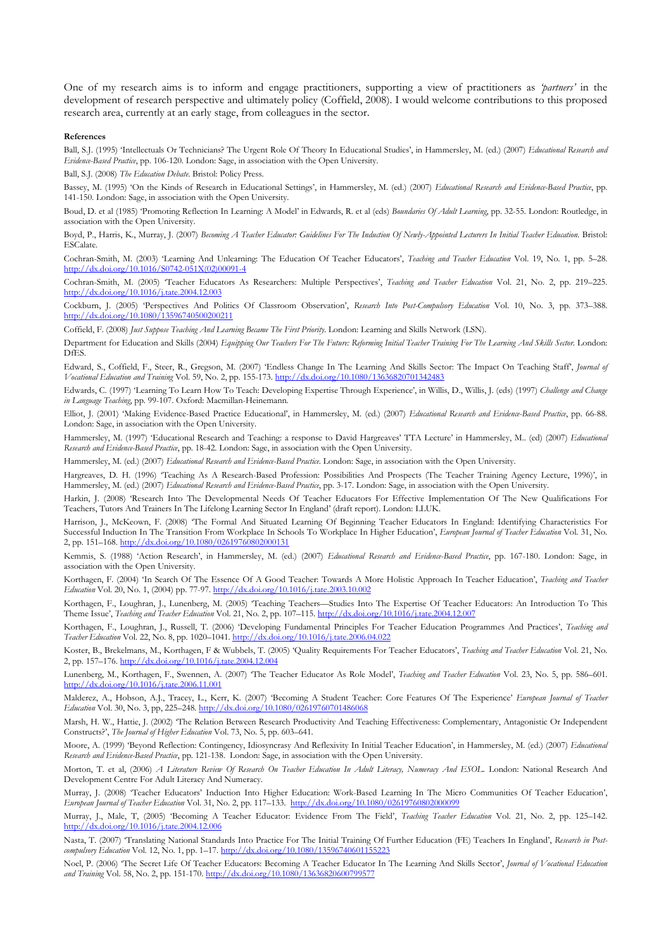One of my research aims is to inform and engage practitioners, supporting a view of practitioners as 'partners' in the development of research perspective and ultimately policy (Coffield, 2008). I would welcome contributions to this proposed research area, currently at an early stage, from colleagues in the sector.

#### References

Ball, S.J. (1995) 'Intellectuals Or Technicians? The Urgent Role Of Theory In Educational Studies', in Hammersley, M. (ed.) (2007) Educational Research and Evidence-Based Practice, pp. 106-120. London: Sage, in association with the Open University.

Ball, S.J. (2008) The Education Debate. Bristol: Policy Press.

Bassey, M. (1995) 'On the Kinds of Research in Educational Settings', in Hammersley, M. (ed.) (2007) Educational Research and Evidence-Based Practice, pp. 141-150. London: Sage, in association with the Open University.

Boud, D. et al (1985) 'Promoting Reflection In Learning: A Model' in Edwards, R. et al (eds) Boundaries Of Adult Learning, pp. 32-55. London: Routledge, in association with the Open University.

Boyd, P., Harris, K., Murray, J. (2007) Becoming A Teacher Educator: Guidelines For The Induction Of Newly-Appointed Lecturers In Initial Teacher Education. Bristol: ESCalate.

Cochran-Smith, M. (2003) 'Learning And Unlearning: The Education Of Teacher Educators', Teaching and Teacher Education Vol. 19, No. 1, pp. 5–28. http://dx.doi.org/10.1016/S0742-051X(02)00091-4

Cochran-Smith, M. (2005) 'Teacher Educators As Researchers: Multiple Perspectives', Teaching and Teacher Education Vol. 21, No. 2, pp. 219–225. http://dx.doi.org/10.1016/j.tate.2004.12.003

Cockburn, J. (2005) 'Perspectives And Politics Of Classroom Observation', Research Into Post-Compulsory Education Vol. 10, No. 3, pp. 373-388. http://dx.doi.org/10.1080/13596740500200211

Coffield, F. (2008) Just Suppose Teaching And Learning Became The First Priority. London: Learning and Skills Network (LSN).

Department for Education and Skills (2004) Equipping Our Teachers For The Future: Reforming Initial Teacher Training For The Learning And Skills Sector. London: DfES.

Edward, S., Coffield, F., Steer, R., Gregson, M. (2007) 'Endless Change In The Learning And Skills Sector: The Impact On Teaching Staff', Journal of Vocational Education and Training Vol. 59, No. 2, pp. 155-173. http://dx.doi.org/10.1080/13636820701342483

Edwards, C. (1997) 'Learning To Learn How To Teach: Developing Expertise Through Experience', in Willis, D., Willis, J. (eds) (1997) Challenge and Change in Language Teaching, pp. 99-107. Oxford: Macmillan-Heinemann.

Elliot, J. (2001) 'Making Evidence-Based Practice Educational', in Hammersley, M. (ed.) (2007) Educational Research and Evidence-Based Practice, pp. 66-88. London: Sage, in association with the Open University.

Hammersley, M. (1997) 'Educational Research and Teaching: a response to David Hargreaves' TTA Lecture' in Hammersley, M.. (ed) (2007) Educational Research and Evidence-Based Practice, pp. 18-42. London: Sage, in association with the Open University.

Hammersley, M. (ed.) (2007) Educational Research and Evidence-Based Practice. London: Sage, in association with the Open University.

Hargreaves, D. H. (1996) 'Teaching As A Research-Based Profession: Possibilities And Prospects (The Teacher Training Agency Lecture, 1996)', in Hammersley, M. (ed.) (2007) Educational Research and Evidence-Based Practice, pp. 3-17. London: Sage, in association with the Open University.

Harkin, J. (2008) 'Research Into The Developmental Needs Of Teacher Educators For Effective Implementation Of The New Qualifications For Teachers, Tutors And Trainers In The Lifelong Learning Sector In England' (draft report). London: LLUK.

Harrison, J., McKeown, F. (2008) 'The Formal And Situated Learning Of Beginning Teacher Educators In England: Identifying Characteristics For Successful Induction In The Transition From Workplace In Schools To Workplace In Higher Education', European Journal of Teacher Education Vol. 31, No. 2, pp. 151–168. http://dx.doi.org/10.1080/02619760802000131

Kemmis, S. (1988) 'Action Research', in Hammersley, M. (ed.) (2007) Educational Research and Evidence-Based Practice, pp. 167-180. London: Sage, in association with the Open University.

Korthagen, F. (2004) 'In Search Of The Essence Of A Good Teacher: Towards A More Holistic Approach In Teacher Education', Teaching and Teacher Education Vol. 20, No. 1, (2004) pp. 77-97. http://dx.doi.org/10.1016/j.tate.2003.10.002

Korthagen, F., Loughran, J., Lunenberg, M. (2005) 'Teaching Teachers—Studies Into The Expertise Of Teacher Educators: An Introduction To This Theme Issue', Teaching and Teacher Education Vol. 21, No. 2, pp. 107–115. http://dx.doi.org/10.1016/j.tate.2004.12.007

Korthagen, F., Loughran, J., Russell, T. (2006) 'Developing Fundamental Principles For Teacher Education Programmes And Practices', Teaching and Teacher Education Vol. 22, No. 8, pp. 1020–1041. http://dx.doi.org/10.1016/j.tate.2006.04.022

Koster, B., Brekelmans, M., Korthagen, F & Wubbels, T. (2005) 'Quality Requirements For Teacher Educators', Teaching and Teacher Education Vol. 21, No. 2, pp. 157–176. http://dx.doi.org/10.1016/j.tate.2004.12.004

Lunenberg, M., Korthagen, F., Swennen, A. (2007) 'The Teacher Educator As Role Model', *Teaching and Teacher Education* Vol. 23, No. 5, pp. 586–601. http://dx.doi.org/10.1016/j.tate.2006.11.001

Malderez, A., Hobson, A.J., Tracey, L., Kerr, K. (2007) 'Becoming A Student Teacher: Core Features Of The Experience' European Journal of Teacher Education Vol. 30, No. 3, pp, 225–248. http://dx.doi.org/10.1080/02619760701486068

Marsh, H. W., Hattie, J. (2002) 'The Relation Between Research Productivity And Teaching Effectiveness: Complementary, Antagonistic Or Independent Constructs?', The Journal of Higher Education Vol. 73, No. 5, pp. 603–641.

Moore, A. (1999) 'Beyond Reflection: Contingency, Idiosyncrasy And Reflexivity In Initial Teacher Education', in Hammersley, M. (ed.) (2007) Educational Research and Evidence-Based Practice, pp. 121-138. London: Sage, in association with the Open University.

Morton, T. et al, (2006) A Literature Review Of Research On Teacher Education In Adult Literacy, Numeracy And ESOL. London: National Research And Development Centre For Adult Literacy And Numeracy.

Murray, J. (2008) 'Teacher Educators' Induction Into Higher Education: Work-Based Learning In The Micro Communities Of Teacher Education', European Journal of Teacher Education Vol. 31, No. 2, pp. 117–133. http://dx.doi.org/10.1080/02619760802000099

Murray, J., Male, T. (2005) 'Becoming A Teacher Educator: Evidence From The Field', Teaching Teacher Education Vol. 21, No. 2, pp. 125-142. http://dx.doi.org/10.1016/j.tate.2004.12.006

Nasta, T. (2007) 'Translating National Standards Into Practice For The Initial Training Of Further Education (FE) Teachers In England', Research in Postcompulsory Education Vol. 12, No. 1, pp. 1-17. http://dx.doi.org/10.1080/13596740601155223

Noel, P. (2006) 'The Secret Life Of Teacher Educators: Becoming A Teacher Educator In The Learning And Skills Sector', Journal of Vocational Education and Training Vol. 58, No. 2, pp. 151-170. http://dx.doi.org/10.1080/136368206007995